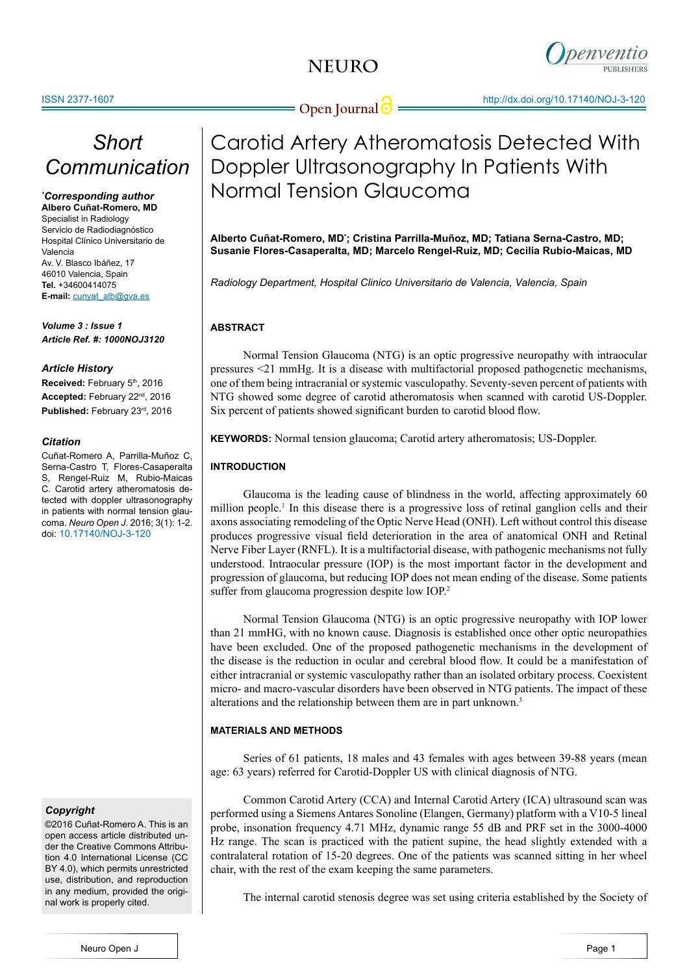

## *Short Communication*

#### *\* Corresponding author* **Albero Cuñat-Romero, MD**

Specialist in Radiology Servicio de Radiodiagnóstico Hospital Clínico Universitario de Valencia Av. V. Blasco Ibáñez, 17 46010 Valencia, Spain **Tel.** +34600414075 **E-mail:** cunyat\_alb@gva.es

*Volume 3 : Issue 1 Article Ref. #: 1000NOJ3120*

### *Article History*

**Received:** February 5th, 2016 **Accepted:** February 22nd, 2016 **Published:** February 23rd, 2016

### *Citation*

Cuñat-Romero A, Parrilla-Muñoz C, Serna-Castro T, Flores-Casaperalta S, Rengel-Ruiz M, Rubio-Maicas C. Carotid artery atheromatosis detected with doppler ultrasonography in patients with normal tension glaucoma. *Neuro Open J*. 2016; 3(1): 1-2. doi: 10.17140/NOJ-3-120

## *Copyright*

©2016 Cuñat-Romero A. This is an open access article distributed under the Creative Commons Attribution 4.0 International License (CC BY 4.0), which permits unrestricted use, distribution, and reproduction in any medium, provided the original work is properly cited.

# Carotid Artery Atheromatosis Detected With Doppler Ultrasonography In Patients With Normal Tension Glaucoma

**Alberto Cuñat-Romero, MD\* ; Cristina Parrilla-Muñoz, MD; Tatiana Serna-Castro, MD; Susanie Flores-Casaperalta, MD; Marcelo Rengel-Ruiz, MD; Cecilia Rubio-Maicas, MD**

*Radiology Department, Hospital Clinico Universitario de Valencia, Valencia, Spain*

## **ABSTRACT**

Normal Tension Glaucoma (NTG) is an optic progressive neuropathy with intraocular pressures <21 mmHg. It is a disease with multifactorial proposed pathogenetic mechanisms, one of them being intracranial or systemic vasculopathy. Seventy-seven percent of patients with NTG showed some degree of carotid atheromatosis when scanned with carotid US-Doppler. Six percent of patients showed significant burden to carotid blood flow.

**KEYWORDS:** Normal tension glaucoma; Carotid artery atheromatosis; US-Doppler.

## **INTRODUCTION**

Glaucoma is the leading cause of blindness in the world, affecting approximately 60 million people.<sup>1</sup> In this disease there is a progressive loss of retinal ganglion cells and their axons associating remodeling of the Optic Nerve Head (ONH). Left without control this disease produces progressive visual field deterioration in the area of anatomical ONH and Retinal Nerve Fiber Layer (RNFL). It is a multifactorial disease, with pathogenic mechanisms not fully understood. Intraocular pressure (IOP) is the most important factor in the development and progression of glaucoma, but reducing IOP does not mean ending of the disease. Some patients suffer from glaucoma progression despite low IOP.<sup>[2](#page-1-1)</sup>

Normal Tension Glaucoma (NTG) is an optic progressive neuropathy with IOP lower than 21 mmHG, with no known cause. Diagnosis is established once other optic neuropathies have been excluded. One of the proposed pathogenetic mechanisms in the development of the disease is the reduction in ocular and cerebral blood flow. It could be a manifestation of either intracranial or systemic vasculopathy rather than an isolated orbitary process. Coexistent micro- and macro-vascular disorders have been observed in NTG patients. The impact of these alterations and the relationship between them are in part unknown.[3](#page-1-2)

## **MATERIALS AND METHODS**

Series of 61 patients, 18 males and 43 females with ages between 39-88 years (mean age: 63 years) referred for Carotid-Doppler US with clinical diagnosis of NTG.

Common Carotid Artery (CCA) and Internal Carotid Artery (ICA) ultrasound scan was performed using a Siemens Antares Sonoline (Elangen, Germany) platform with a V10-5 lineal probe, insonation frequency 4.71 MHz, dynamic range 55 dB and PRF set in the 3000-4000 Hz range. The scan is practiced with the patient supine, the head slightly extended with a contralateral rotation of 15-20 degrees. One of the patients was scanned sitting in her wheel chair, with the rest of the exam keeping the same parameters.

The internal carotid stenosis degree was set using criteria established by the Society of